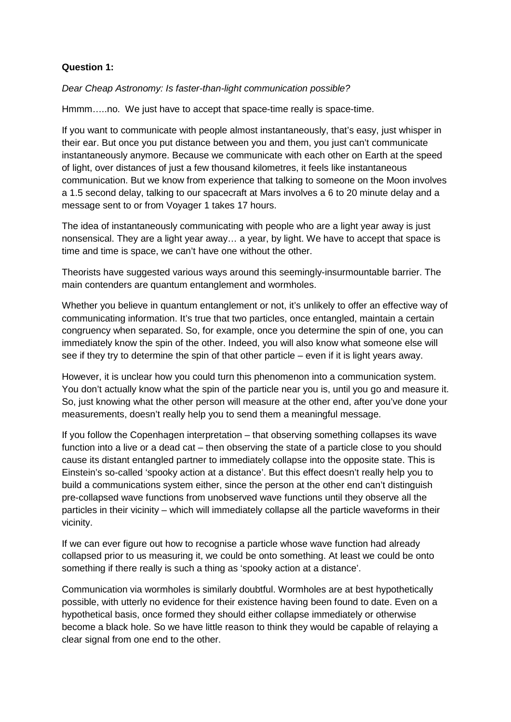## **Question 1:**

Dear Cheap Astronomy: Is faster-than-light communication possible?

Hmmm…..no. We just have to accept that space-time really is space-time.

If you want to communicate with people almost instantaneously, that's easy, just whisper in their ear. But once you put distance between you and them, you just can't communicate instantaneously anymore. Because we communicate with each other on Earth at the speed of light, over distances of just a few thousand kilometres, it feels like instantaneous communication. But we know from experience that talking to someone on the Moon involves a 1.5 second delay, talking to our spacecraft at Mars involves a 6 to 20 minute delay and a message sent to or from Voyager 1 takes 17 hours.

The idea of instantaneously communicating with people who are a light year away is just nonsensical. They are a light year away… a year, by light. We have to accept that space is time and time is space, we can't have one without the other.

Theorists have suggested various ways around this seemingly-insurmountable barrier. The main contenders are quantum entanglement and wormholes.

Whether you believe in quantum entanglement or not, it's unlikely to offer an effective way of communicating information. It's true that two particles, once entangled, maintain a certain congruency when separated. So, for example, once you determine the spin of one, you can immediately know the spin of the other. Indeed, you will also know what someone else will see if they try to determine the spin of that other particle – even if it is light years away.

However, it is unclear how you could turn this phenomenon into a communication system. You don't actually know what the spin of the particle near you is, until you go and measure it. So, just knowing what the other person will measure at the other end, after you've done your measurements, doesn't really help you to send them a meaningful message.

If you follow the Copenhagen interpretation – that observing something collapses its wave function into a live or a dead cat – then observing the state of a particle close to you should cause its distant entangled partner to immediately collapse into the opposite state. This is Einstein's so-called 'spooky action at a distance'. But this effect doesn't really help you to build a communications system either, since the person at the other end can't distinguish pre-collapsed wave functions from unobserved wave functions until they observe all the particles in their vicinity – which will immediately collapse all the particle waveforms in their vicinity.

If we can ever figure out how to recognise a particle whose wave function had already collapsed prior to us measuring it, we could be onto something. At least we could be onto something if there really is such a thing as 'spooky action at a distance'.

Communication via wormholes is similarly doubtful. Wormholes are at best hypothetically possible, with utterly no evidence for their existence having been found to date. Even on a hypothetical basis, once formed they should either collapse immediately or otherwise become a black hole. So we have little reason to think they would be capable of relaying a clear signal from one end to the other.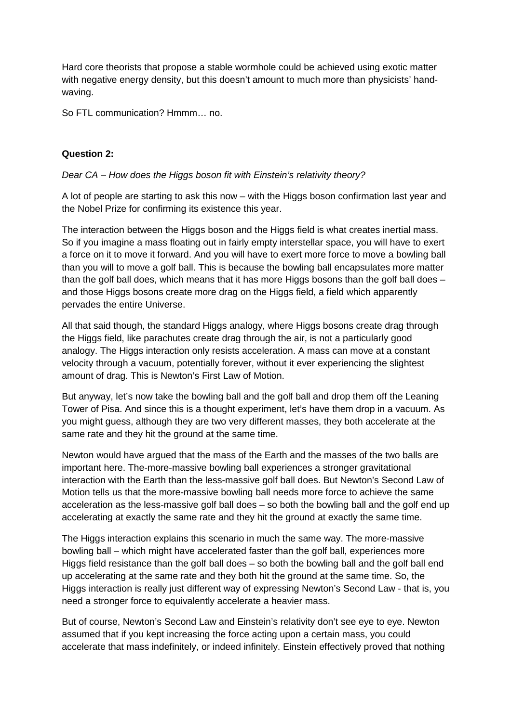Hard core theorists that propose a stable wormhole could be achieved using exotic matter with negative energy density, but this doesn't amount to much more than physicists' handwaving.

So FTL communication? Hmmm… no.

## **Question 2:**

## Dear CA – How does the Higgs boson fit with Einstein's relativity theory?

A lot of people are starting to ask this now – with the Higgs boson confirmation last year and the Nobel Prize for confirming its existence this year.

The interaction between the Higgs boson and the Higgs field is what creates inertial mass. So if you imagine a mass floating out in fairly empty interstellar space, you will have to exert a force on it to move it forward. And you will have to exert more force to move a bowling ball than you will to move a golf ball. This is because the bowling ball encapsulates more matter than the golf ball does, which means that it has more Higgs bosons than the golf ball does – and those Higgs bosons create more drag on the Higgs field, a field which apparently pervades the entire Universe.

All that said though, the standard Higgs analogy, where Higgs bosons create drag through the Higgs field, like parachutes create drag through the air, is not a particularly good analogy. The Higgs interaction only resists acceleration. A mass can move at a constant velocity through a vacuum, potentially forever, without it ever experiencing the slightest amount of drag. This is Newton's First Law of Motion.

But anyway, let's now take the bowling ball and the golf ball and drop them off the Leaning Tower of Pisa. And since this is a thought experiment, let's have them drop in a vacuum. As you might guess, although they are two very different masses, they both accelerate at the same rate and they hit the ground at the same time.

Newton would have argued that the mass of the Earth and the masses of the two balls are important here. The-more-massive bowling ball experiences a stronger gravitational interaction with the Earth than the less-massive golf ball does. But Newton's Second Law of Motion tells us that the more-massive bowling ball needs more force to achieve the same acceleration as the less-massive golf ball does – so both the bowling ball and the golf end up accelerating at exactly the same rate and they hit the ground at exactly the same time.

The Higgs interaction explains this scenario in much the same way. The more-massive bowling ball – which might have accelerated faster than the golf ball, experiences more Higgs field resistance than the golf ball does – so both the bowling ball and the golf ball end up accelerating at the same rate and they both hit the ground at the same time. So, the Higgs interaction is really just different way of expressing Newton's Second Law - that is, you need a stronger force to equivalently accelerate a heavier mass.

But of course, Newton's Second Law and Einstein's relativity don't see eye to eye. Newton assumed that if you kept increasing the force acting upon a certain mass, you could accelerate that mass indefinitely, or indeed infinitely. Einstein effectively proved that nothing